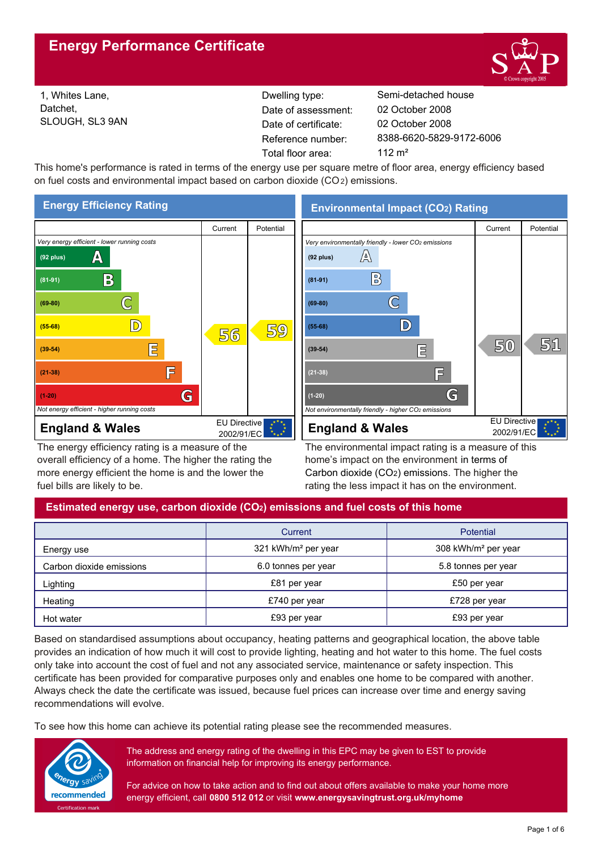# **Energy Performance Certificate**



1, Whites Lane, Datchet, SLOUGH, SL3 9AN Reference number: Date of certificate: Total floor area: 112 m<sup>2</sup> Date of assessment:

Dwelling type: Semi-detached house 8388-6620-5829-9172-6006 02 October 2008 02 October 2008

This home's performance is rated in terms of the energy use per square metre of floor area, energy efficiency based on fuel costs and environmental impact based on carbon dioxide (CO2) emissions.



The energy efficiency rating is a measure of the overall efficiency of a home. The higher the rating the more energy efficient the home is and the lower the fuel bills are likely to be.

**Environmental Impact (CO2) Rating**



The environmental impact rating is a measure of this home's impact on the environment in terms of Carbon dioxide (CO2) emissions. The higher the rating the less impact it has on the environment.

## **Estimated energy use, carbon dioxide (CO2) emissions and fuel costs of this home**

|                          | Current                         | <b>Potential</b>                |  |
|--------------------------|---------------------------------|---------------------------------|--|
| Energy use               | 321 kWh/m <sup>2</sup> per year | 308 kWh/m <sup>2</sup> per year |  |
| Carbon dioxide emissions | 6.0 tonnes per year             | 5.8 tonnes per year             |  |
| Lighting                 | £81 per year                    | £50 per year                    |  |
| Heating                  | £740 per year                   | £728 per year                   |  |
| Hot water                | £93 per year                    | £93 per year                    |  |

Based on standardised assumptions about occupancy, heating patterns and geographical location, the above table provides an indication of how much it will cost to provide lighting, heating and hot water to this home. The fuel costs only take into account the cost of fuel and not any associated service, maintenance or safety inspection. This certificate has been provided for comparative purposes only and enables one home to be compared with another. Always check the date the certificate was issued, because fuel prices can increase over time and energy saving recommendations will evolve.

To see how this home can achieve its potential rating please see the recommended measures.



The address and energy rating of the dwelling in this EPC may be given to EST to provide information on financial help for improving its energy performance.

For advice on how to take action and to find out about offers available to make your home more energy efficient, call **0800 512 012** or visit **www.energysavingtrust.org.uk/myhome**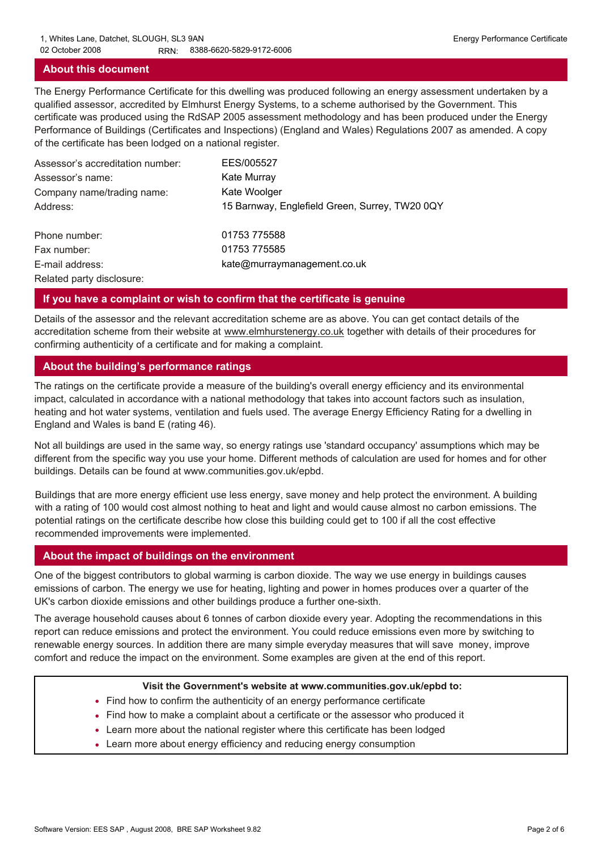## **About this document**

The Energy Performance Certificate for this dwelling was produced following an energy assessment undertaken by a qualified assessor, accredited by Elmhurst Energy Systems, to a scheme authorised by the Government. This certificate was produced using the RdSAP 2005 assessment methodology and has been produced under the Energy Performance of Buildings (Certificates and Inspections) (England and Wales) Regulations 2007 as amended. A copy of the certificate has been lodged on a national register.

| Assessor's accreditation number: | EES/005527                                     |
|----------------------------------|------------------------------------------------|
| Assessor's name:                 | Kate Murray                                    |
| Company name/trading name:       | Kate Woolger                                   |
| Address:                         | 15 Barnway, Englefield Green, Surrey, TW20 0QY |
| Phone number:                    | 01753 775588                                   |
| Fax number:                      | 01753 775585                                   |
| E-mail address:                  | kate@murraymanagement.co.uk                    |
| Related party disclosure:        |                                                |

### **If you have a complaint or wish to confirm that the certificate is genuine**

Details of the assessor and the relevant accreditation scheme are as above. You can get contact details of the accreditation scheme from their website at www.elmhurstenergy.co.uk together with details of their procedures for confirming authenticity of a certificate and for making a complaint.

## **About the building's performance ratings**

The ratings on the certificate provide a measure of the building's overall energy efficiency and its environmental impact, calculated in accordance with a national methodology that takes into account factors such as insulation, heating and hot water systems, ventilation and fuels used. The average Energy Efficiency Rating for a dwelling in England and Wales is band E (rating 46).

Not all buildings are used in the same way, so energy ratings use 'standard occupancy' assumptions which may be different from the specific way you use your home. Different methods of calculation are used for homes and for other buildings. Details can be found at www.communities.gov.uk/epbd.

Buildings that are more energy efficient use less energy, save money and help protect the environment. A building with a rating of 100 would cost almost nothing to heat and light and would cause almost no carbon emissions. The potential ratings on the certificate describe how close this building could get to 100 if all the cost effective recommended improvements were implemented.

### **About the impact of buildings on the environment**

One of the biggest contributors to global warming is carbon dioxide. The way we use energy in buildings causes emissions of carbon. The energy we use for heating, lighting and power in homes produces over a quarter of the UK's carbon dioxide emissions and other buildings produce a further one-sixth.

The average household causes about 6 tonnes of carbon dioxide every year. Adopting the recommendations in this report can reduce emissions and protect the environment. You could reduce emissions even more by switching to renewable energy sources. In addition there are many simple everyday measures that will save money, improve comfort and reduce the impact on the environment. Some examples are given at the end of this report.

#### **Visit the Government's website at www.communities.gov.uk/epbd to:**

- Find how to confirm the authenticity of an energy performance certificate
- Find how to make a complaint about a certificate or the assessor who produced it •
- Learn more about the national register where this certificate has been lodged •
- Learn more about energy efficiency and reducing energy consumption •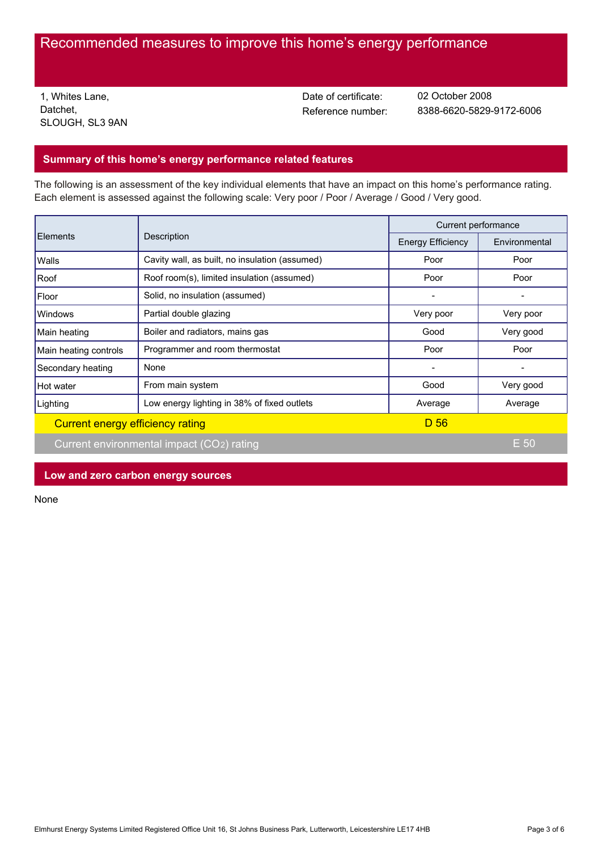## Recommended measures to improve this home's energy performance

1, Whites Lane, Datchet, SLOUGH, SL3 9AN Date of certificate:

Reference number: 8388-6620-5829-9172-6006 02 October 2008

## **Summary of this home's energy performance related features**

The following is an assessment of the key individual elements that have an impact on this home's performance rating. Each element is assessed against the following scale: Very poor / Poor / Average / Good / Very good.

| Elements<br>Description                 |                                                | Current performance      |               |
|-----------------------------------------|------------------------------------------------|--------------------------|---------------|
|                                         |                                                | <b>Energy Efficiency</b> | Environmental |
| Walls                                   | Cavity wall, as built, no insulation (assumed) | Poor                     | Poor          |
| Roof                                    | Roof room(s), limited insulation (assumed)     | Poor                     | Poor          |
| Floor                                   | Solid, no insulation (assumed)                 |                          |               |
| Windows                                 | Partial double glazing                         | Very poor                | Very poor     |
| Main heating                            | Boiler and radiators, mains gas                | Good                     | Very good     |
| Main heating controls                   | Programmer and room thermostat                 | Poor                     | Poor          |
| Secondary heating                       | None                                           |                          |               |
| Hot water                               | From main system                               | Good                     | Very good     |
| Lighting                                | Low energy lighting in 38% of fixed outlets    | Average                  | Average       |
| <b>Current energy efficiency rating</b> |                                                | D 56                     |               |
|                                         | Current environmental impact (CO2) rating      |                          | 'E 50,        |

**Low and zero carbon energy sources**

None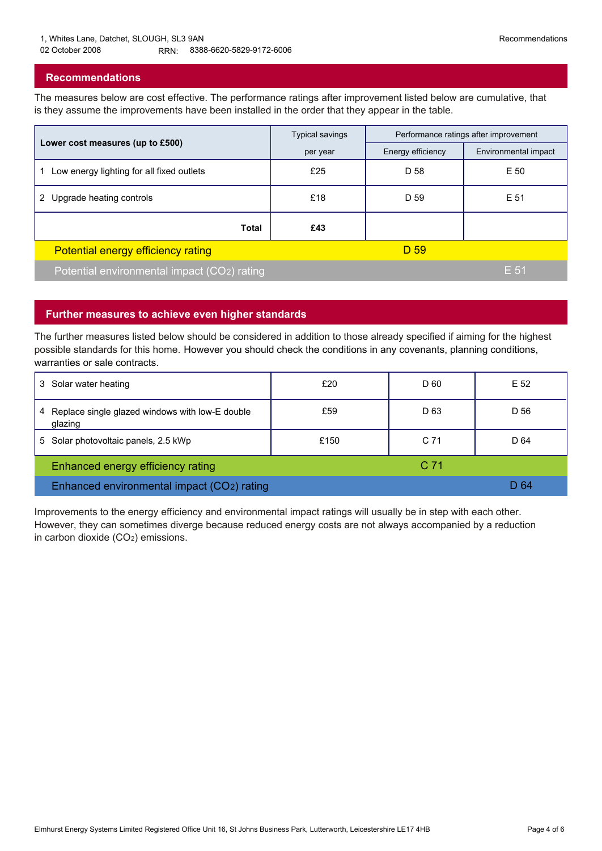## **Recommendations**

The measures below are cost effective. The performance ratings after improvement listed below are cumulative, that is they assume the improvements have been installed in the order that they appear in the table.

|                                             | <b>Typical savings</b> | Performance ratings after improvement |                      |
|---------------------------------------------|------------------------|---------------------------------------|----------------------|
| Lower cost measures (up to £500)            | per year               | Energy efficiency                     | Environmental impact |
| Low energy lighting for all fixed outlets   | £25                    | D 58                                  | E 50                 |
| 2 Upgrade heating controls                  | £18                    | D 59                                  | E 51                 |
| Total                                       | £43                    |                                       |                      |
| Potential energy efficiency rating          |                        | D <sub>59</sub>                       |                      |
| Potential environmental impact (CO2) rating |                        |                                       | E 51                 |

## **Further measures to achieve even higher standards**

The further measures listed below should be considered in addition to those already specified if aiming for the highest possible standards for this home. However you should check the conditions in any covenants, planning conditions, warranties or sale contracts.

| 3 Solar water heating                                           | £20  | D 60            | E 52 |
|-----------------------------------------------------------------|------|-----------------|------|
| Replace single glazed windows with low-E double<br>4<br>glazing | £59  | D <sub>63</sub> | D 56 |
| 5 Solar photovoltaic panels, 2.5 kWp                            | £150 | C <sub>71</sub> | D 64 |
| C 71<br>Enhanced energy efficiency rating                       |      |                 |      |
| Enhanced environmental impact (CO2) rating                      |      |                 | D 64 |

Improvements to the energy efficiency and environmental impact ratings will usually be in step with each other. However, they can sometimes diverge because reduced energy costs are not always accompanied by a reduction in carbon dioxide (CO2) emissions.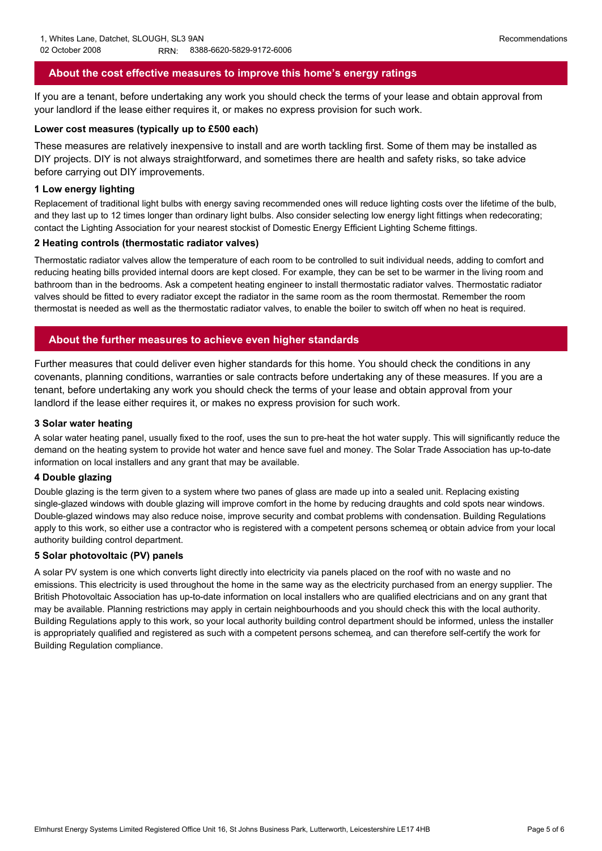## **About the cost effective measures to improve this home's energy ratings**

If you are a tenant, before undertaking any work you should check the terms of your lease and obtain approval from your landlord if the lease either requires it, or makes no express provision for such work.

## **Lower cost measures (typically up to £500 each)**

These measures are relatively inexpensive to install and are worth tackling first. Some of them may be installed as DIY projects. DIY is not always straightforward, and sometimes there are health and safety risks, so take advice before carrying out DIY improvements.

## **1 Low energy lighting**

Replacement of traditional light bulbs with energy saving recommended ones will reduce lighting costs over the lifetime of the bulb, and they last up to 12 times longer than ordinary light bulbs. Also consider selecting low energy light fittings when redecorating; contact the Lighting Association for your nearest stockist of Domestic Energy Efficient Lighting Scheme fittings.

### **2 Heating controls (thermostatic radiator valves)**

Thermostatic radiator valves allow the temperature of each room to be controlled to suit individual needs, adding to comfort and reducing heating bills provided internal doors are kept closed. For example, they can be set to be warmer in the living room and bathroom than in the bedrooms. Ask a competent heating engineer to install thermostatic radiator valves. Thermostatic radiator valves should be fitted to every radiator except the radiator in the same room as the room thermostat. Remember the room thermostat is needed as well as the thermostatic radiator valves, to enable the boiler to switch off when no heat is required.

## **About the further measures to achieve even higher standards**

Further measures that could deliver even higher standards for this home. You should check the conditions in any covenants, planning conditions, warranties or sale contracts before undertaking any of these measures. If you are a tenant, before undertaking any work you should check the terms of your lease and obtain approval from your landlord if the lease either requires it, or makes no express provision for such work.

### **3 Solar water heating**

A solar water heating panel, usually fixed to the roof, uses the sun to pre-heat the hot water supply. This will significantly reduce the demand on the heating system to provide hot water and hence save fuel and money. The Solar Trade Association has up-to-date information on local installers and any grant that may be available.

### **4 Double glazing**

Double glazing is the term given to a system where two panes of glass are made up into a sealed unit. Replacing existing single-glazed windows with double glazing will improve comfort in the home by reducing draughts and cold spots near windows. Double-glazed windows may also reduce noise, improve security and combat problems with condensation. Building Regulations apply to this work, so either use a contractor who is registered with a competent persons schemeą or obtain advice from your local authority building control department.

### **5 Solar photovoltaic (PV) panels**

A solar PV system is one which converts light directly into electricity via panels placed on the roof with no waste and no emissions. This electricity is used throughout the home in the same way as the electricity purchased from an energy supplier. The British Photovoltaic Association has up-to-date information on local installers who are qualified electricians and on any grant that may be available. Planning restrictions may apply in certain neighbourhoods and you should check this with the local authority. Building Regulations apply to this work, so your local authority building control department should be informed, unless the installer is appropriately qualified and registered as such with a competent persons schemeą, and can therefore self-certify the work for Building Regulation compliance.